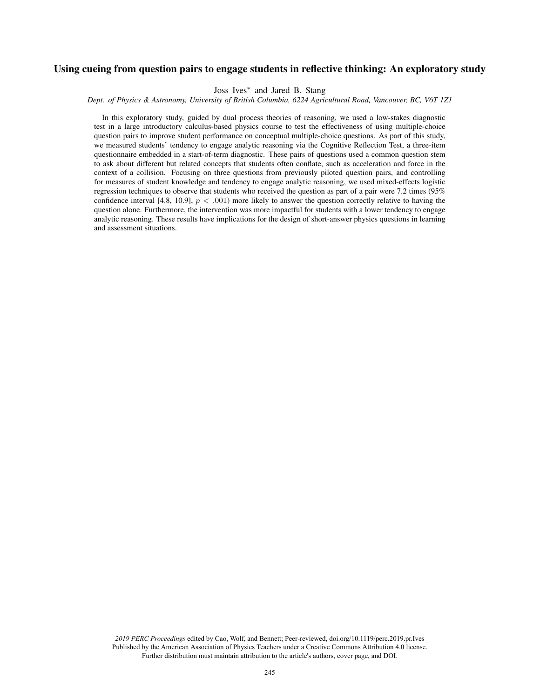# Using cueing from question pairs to engage students in reflective thinking: An exploratory study

Joss Ives<sup>∗</sup> and Jared B. Stang

*Dept. of Physics & Astronomy, University of British Columbia, 6224 Agricultural Road, Vancouver, BC, V6T 1Z1*

In this exploratory study, guided by dual process theories of reasoning, we used a low-stakes diagnostic test in a large introductory calculus-based physics course to test the effectiveness of using multiple-choice question pairs to improve student performance on conceptual multiple-choice questions. As part of this study, we measured students' tendency to engage analytic reasoning via the Cognitive Reflection Test, a three-item questionnaire embedded in a start-of-term diagnostic. These pairs of questions used a common question stem to ask about different but related concepts that students often conflate, such as acceleration and force in the context of a collision. Focusing on three questions from previously piloted question pairs, and controlling for measures of student knowledge and tendency to engage analytic reasoning, we used mixed-effects logistic regression techniques to observe that students who received the question as part of a pair were 7.2 times (95% confidence interval [4.8, 10.9],  $p < .001$ ) more likely to answer the question correctly relative to having the question alone. Furthermore, the intervention was more impactful for students with a lower tendency to engage analytic reasoning. These results have implications for the design of short-answer physics questions in learning and assessment situations.

*2019 PERC Proceedings* edited by Cao, Wolf, and Bennett; Peer-reviewed, doi.org/10.1119/perc.2019.pr.Ives Published by the American Association of Physics Teachers under a Creative Commons Attribution 4.0 license. Further distribution must maintain attribution to the article's authors, cover page, and DOI.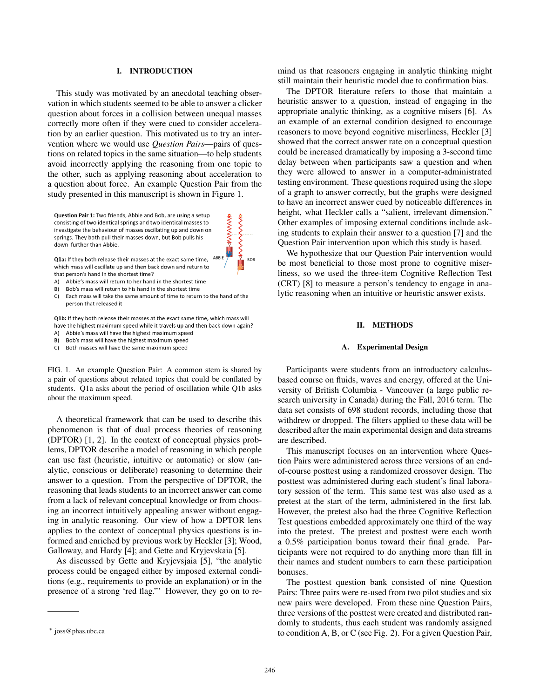# I. INTRODUCTION

This study was motivated by an anecdotal teaching observation in which students seemed to be able to answer a clicker question about forces in a collision between unequal masses correctly more often if they were cued to consider acceleration by an earlier question. This motivated us to try an intervention where we would use *Question Pairs*—pairs of questions on related topics in the same situation—to help students avoid incorrectly applying the reasoning from one topic to the other, such as applying reasoning about acceleration to a question about force. An example Question Pair from the study presented in this manuscript is shown in Figure 1.



Q1a: If they both release their masses at the exact same time. which mass will oscillate up and then back down and return to that person's hand in the shortest time?

- A) Abbie's mass will return to her hand in the shortest time
- Bob's mass will return to his hand in the shortest time B)
- Each mass will take the same amount of time to return to the hand of the C) person that released it

**SHANNWARE**  $\frac{1}{2}$ 

**BOB** 

Q1b: If they both release their masses at the exact same time, which mass will have the highest maximum speed while it travels up and then back down again?

- A) Abbie's mass will have the highest maximum speed
- Bob's mass will have the highest maximum speed B)
- Both masses will have the same maximum speed C)

FIG. 1. An example Question Pair: A common stem is shared by a pair of questions about related topics that could be conflated by students. Q1a asks about the period of oscillation while Q1b asks about the maximum speed.

A theoretical framework that can be used to describe this phenomenon is that of dual process theories of reasoning (DPTOR) [1, 2]. In the context of conceptual physics problems, DPTOR describe a model of reasoning in which people can use fast (heuristic, intuitive or automatic) or slow (analytic, conscious or deliberate) reasoning to determine their answer to a question. From the perspective of DPTOR, the reasoning that leads students to an incorrect answer can come from a lack of relevant conceptual knowledge or from choosing an incorrect intuitively appealing answer without engaging in analytic reasoning. Our view of how a DPTOR lens applies to the context of conceptual physics questions is informed and enriched by previous work by Heckler [3]; Wood, Galloway, and Hardy [4]; and Gette and Kryjevskaia [5].

As discussed by Gette and Kryjevsjaia [5], "the analytic process could be engaged either by imposed external conditions (e.g., requirements to provide an explanation) or in the presence of a strong 'red flag."' However, they go on to remind us that reasoners engaging in analytic thinking might still maintain their heuristic model due to confirmation bias.

The DPTOR literature refers to those that maintain a heuristic answer to a question, instead of engaging in the appropriate analytic thinking, as a cognitive misers [6]. As an example of an external condition designed to encourage reasoners to move beyond cognitive miserliness, Heckler [3] showed that the correct answer rate on a conceptual question could be increased dramatically by imposing a 3-second time delay between when participants saw a question and when they were allowed to answer in a computer-administrated testing environment. These questions required using the slope of a graph to answer correctly, but the graphs were designed to have an incorrect answer cued by noticeable differences in height, what Heckler calls a "salient, irrelevant dimension." Other examples of imposing external conditions include asking students to explain their answer to a question [7] and the Question Pair intervention upon which this study is based.

We hypothesize that our Question Pair intervention would be most beneficial to those most prone to cognitive miserliness, so we used the three-item Cognitive Reflection Test (CRT) [8] to measure a person's tendency to engage in analytic reasoning when an intuitive or heuristic answer exists.

### II. METHODS

#### A. Experimental Design

Participants were students from an introductory calculusbased course on fluids, waves and energy, offered at the University of British Columbia - Vancouver (a large public research university in Canada) during the Fall, 2016 term. The data set consists of 698 student records, including those that withdrew or dropped. The filters applied to these data will be described after the main experimental design and data streams are described.

This manuscript focuses on an intervention where Question Pairs were administered across three versions of an endof-course posttest using a randomized crossover design. The posttest was administered during each student's final laboratory session of the term. This same test was also used as a pretest at the start of the term, administered in the first lab. However, the pretest also had the three Cognitive Reflection Test questions embedded approximately one third of the way into the pretest. The pretest and posttest were each worth a 0.5% participation bonus toward their final grade. Participants were not required to do anything more than fill in their names and student numbers to earn these participation bonuses.

The posttest question bank consisted of nine Question Pairs: Three pairs were re-used from two pilot studies and six new pairs were developed. From these nine Question Pairs, three versions of the posttest were created and distributed randomly to students, thus each student was randomly assigned to condition A, B, or C (see Fig. 2). For a given Question Pair,

<sup>∗</sup> joss@phas.ubc.ca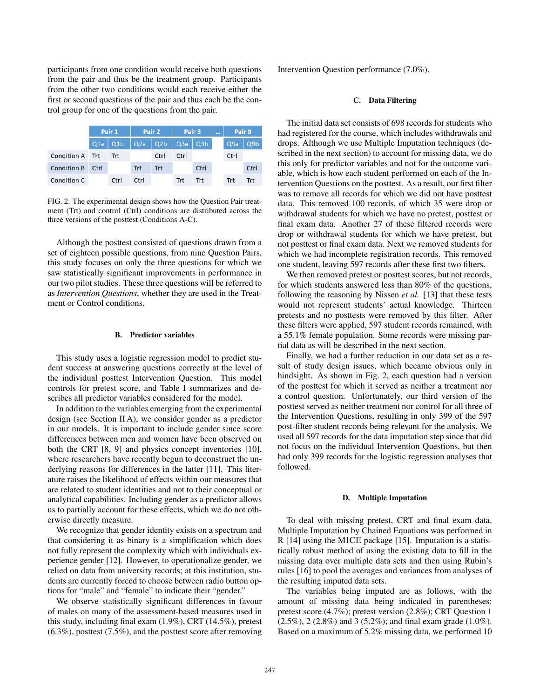participants from one condition would receive both questions from the pair and thus be the treatment group. Participants from the other two conditions would each receive either the first or second questions of the pair and thus each be the control group for one of the questions from the pair.

|                    | Pair 1 |             | Pair 2     |            | Pair 3 |           | $\cdots$ | Pair 9 |                  |
|--------------------|--------|-------------|------------|------------|--------|-----------|----------|--------|------------------|
|                    | Q1a    | $\vert$ Q1b | Q2a   Q2b  |            |        | Q3a   Q3b |          | Q9a    | Q <sub>9</sub> b |
| Condition A Trt    |        | Trt         |            | Ctrl       | Ctrl   |           |          | Ctrl   |                  |
| <b>Condition B</b> | Ctrl   |             | <b>Trt</b> | <b>Trt</b> |        | Ctrl      |          |        | Ctrl             |
| Condition C        |        | Ctrl        | Ctrl       |            | Trt    | Trt       |          | Trt    | Trt              |

FIG. 2. The experimental design shows how the Question Pair treatment (Trt) and control (Ctrl) conditions are distributed across the three versions of the posttest (Conditions A-C).

Although the posttest consisted of questions drawn from a set of eighteen possible questions, from nine Question Pairs, this study focuses on only the three questions for which we saw statistically significant improvements in performance in our two pilot studies. These three questions will be referred to as *Intervention Questions*, whether they are used in the Treatment or Control conditions.

# B. Predictor variables

This study uses a logistic regression model to predict student success at answering questions correctly at the level of the individual posttest Intervention Question. This model controls for pretest score, and Table I summarizes and describes all predictor variables considered for the model.

In addition to the variables emerging from the experimental design (see Section II A), we consider gender as a predictor in our models. It is important to include gender since score differences between men and women have been observed on both the CRT [8, 9] and physics concept inventories [10], where researchers have recently begun to deconstruct the underlying reasons for differences in the latter [11]. This literature raises the likelihood of effects within our measures that are related to student identities and not to their conceptual or analytical capabilities. Including gender as a predictor allows us to partially account for these effects, which we do not otherwise directly measure.

We recognize that gender identity exists on a spectrum and that considering it as binary is a simplification which does not fully represent the complexity which with individuals experience gender [12]. However, to operationalize gender, we relied on data from university records; at this institution, students are currently forced to choose between radio button options for "male" and "female" to indicate their "gender."

We observe statistically significant differences in favour of males on many of the assessment-based measures used in this study, including final exam (1.9%), CRT (14.5%), pretest  $(6.3\%)$ , posttest  $(7.5\%)$ , and the posttest score after removing Intervention Question performance (7.0%).

# C. Data Filtering

The initial data set consists of 698 records for students who had registered for the course, which includes withdrawals and drops. Although we use Multiple Imputation techniques (described in the next section) to account for missing data, we do this only for predictor variables and not for the outcome variable, which is how each student performed on each of the Intervention Questions on the posttest. As a result, our first filter was to remove all records for which we did not have posttest data. This removed 100 records, of which 35 were drop or withdrawal students for which we have no pretest, posttest or final exam data. Another 27 of these filtered records were drop or withdrawal students for which we have pretest, but not posttest or final exam data. Next we removed students for which we had incomplete registration records. This removed one student, leaving 597 records after these first two filters.

We then removed pretest or posttest scores, but not records, for which students answered less than 80% of the questions, following the reasoning by Nissen *et al.* [13] that these tests would not represent students' actual knowledge. Thirteen pretests and no posttests were removed by this filter. After these filters were applied, 597 student records remained, with a 55.1% female population. Some records were missing partial data as will be described in the next section.

Finally, we had a further reduction in our data set as a result of study design issues, which became obvious only in hindsight. As shown in Fig. 2, each question had a version of the posttest for which it served as neither a treatment nor a control question. Unfortunately, our third version of the posttest served as neither treatment nor control for all three of the Intervention Questions, resulting in only 399 of the 597 post-filter student records being relevant for the analysis. We used all 597 records for the data imputation step since that did not focus on the individual Intervention Questions, but then had only 399 records for the logistic regression analyses that followed.

#### D. Multiple Imputation

To deal with missing pretest, CRT and final exam data, Multiple Imputation by Chained Equations was performed in R [14] using the MICE package [15]. Imputation is a statistically robust method of using the existing data to fill in the missing data over multiple data sets and then using Rubin's rules [16] to pool the averages and variances from analyses of the resulting imputed data sets.

The variables being imputed are as follows, with the amount of missing data being indicated in parentheses: pretest score (4.7%); pretest version (2.8%); CRT Question 1 (2.5%), 2 (2.8%) and 3 (5.2%); and final exam grade (1.0%). Based on a maximum of 5.2% missing data, we performed 10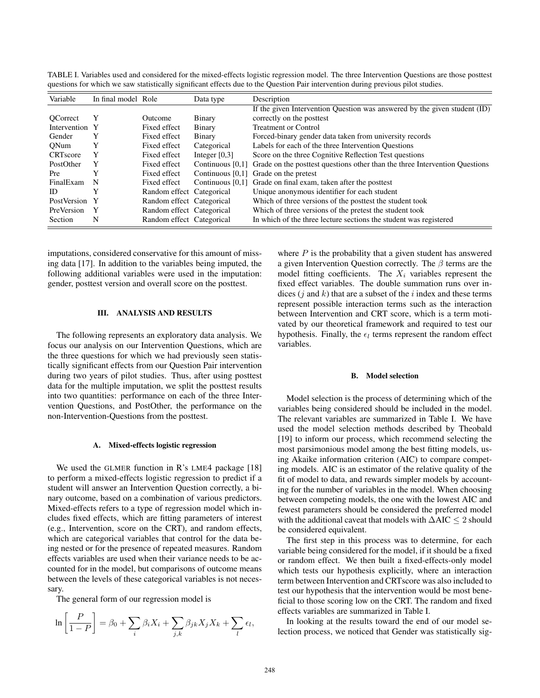|                |              | Data type           | Description                                                                                                      |
|----------------|--------------|---------------------|------------------------------------------------------------------------------------------------------------------|
|                |              |                     | If the given Intervention Question was answered by the given student (ID)                                        |
| Y              | Outcome      | Binary              | correctly on the posttest                                                                                        |
| Intervention Y | Fixed effect | Binary              | <b>Treatment or Control</b>                                                                                      |
| Y              | Fixed effect | Binary              | Forced-binary gender data taken from university records                                                          |
| Y              | Fixed effect | Categorical         | Labels for each of the three Intervention Questions                                                              |
| Y              | Fixed effect | Integer $[0,3]$     | Score on the three Cognitive Reflection Test questions                                                           |
| Y              | Fixed effect | Continuous $[0,1]$  | Grade on the posttest questions other than the three Intervention Questions                                      |
| Y              | Fixed effect | Continuous $[0,1]$  | Grade on the pretest                                                                                             |
| - N            | Fixed effect | Continuous $[0,1]$  | Grade on final exam, taken after the posttest                                                                    |
| Y              |              |                     | Unique anonymous identifier for each student                                                                     |
| PostVersion Y  |              |                     | Which of three versions of the posttest the student took                                                         |
| $\mathbf{Y}$   |              |                     | Which of three versions of the pretest the student took                                                          |
| N              |              |                     | In which of the three lecture sections the student was registered                                                |
|                |              | In final model Role | Random effect Categorical<br>Random effect Categorical<br>Random effect Categorical<br>Random effect Categorical |

TABLE I. Variables used and considered for the mixed-effects logistic regression model. The three Intervention Questions are those posttest questions for which we saw statistically significant effects due to the Question Pair intervention during previous pilot studies.

imputations, considered conservative for this amount of missing data [17]. In addition to the variables being imputed, the following additional variables were used in the imputation: gender, posttest version and overall score on the posttest.

# III. ANALYSIS AND RESULTS

The following represents an exploratory data analysis. We focus our analysis on our Intervention Questions, which are the three questions for which we had previously seen statistically significant effects from our Question Pair intervention during two years of pilot studies. Thus, after using posttest data for the multiple imputation, we split the posttest results into two quantities: performance on each of the three Intervention Questions, and PostOther, the performance on the non-Intervention-Questions from the posttest.

### A. Mixed-effects logistic regression

We used the GLMER function in R's LME4 package [18] to perform a mixed-effects logistic regression to predict if a student will answer an Intervention Question correctly, a binary outcome, based on a combination of various predictors. Mixed-effects refers to a type of regression model which includes fixed effects, which are fitting parameters of interest (e.g., Intervention, score on the CRT), and random effects, which are categorical variables that control for the data being nested or for the presence of repeated measures. Random effects variables are used when their variance needs to be accounted for in the model, but comparisons of outcome means between the levels of these categorical variables is not necessary.

The general form of our regression model is

$$
\ln\left[\frac{P}{1-P}\right] = \beta_0 + \sum_i \beta_i X_i + \sum_{j,k} \beta_{jk} X_j X_k + \sum_l \epsilon_l,
$$

where  $P$  is the probability that a given student has answered a given Intervention Question correctly. The  $\beta$  terms are the model fitting coefficients. The  $X_i$  variables represent the fixed effect variables. The double summation runs over indices  $(j \text{ and } k)$  that are a subset of the i index and these terms represent possible interaction terms such as the interaction between Intervention and CRT score, which is a term motivated by our theoretical framework and required to test our hypothesis. Finally, the  $\epsilon_l$  terms represent the random effect variables.

### B. Model selection

Model selection is the process of determining which of the variables being considered should be included in the model. The relevant variables are summarized in Table I. We have used the model selection methods described by Theobald [19] to inform our process, which recommend selecting the most parsimonious model among the best fitting models, using Akaike information criterion (AIC) to compare competing models. AIC is an estimator of the relative quality of the fit of model to data, and rewards simpler models by accounting for the number of variables in the model. When choosing between competing models, the one with the lowest AIC and fewest parameters should be considered the preferred model with the additional caveat that models with ∆AIC ≤ 2 should be considered equivalent.

The first step in this process was to determine, for each variable being considered for the model, if it should be a fixed or random effect. We then built a fixed-effects-only model which tests our hypothesis explicitly, where an interaction term between Intervention and CRTscore was also included to test our hypothesis that the intervention would be most beneficial to those scoring low on the CRT. The random and fixed effects variables are summarized in Table I.

In looking at the results toward the end of our model selection process, we noticed that Gender was statistically sig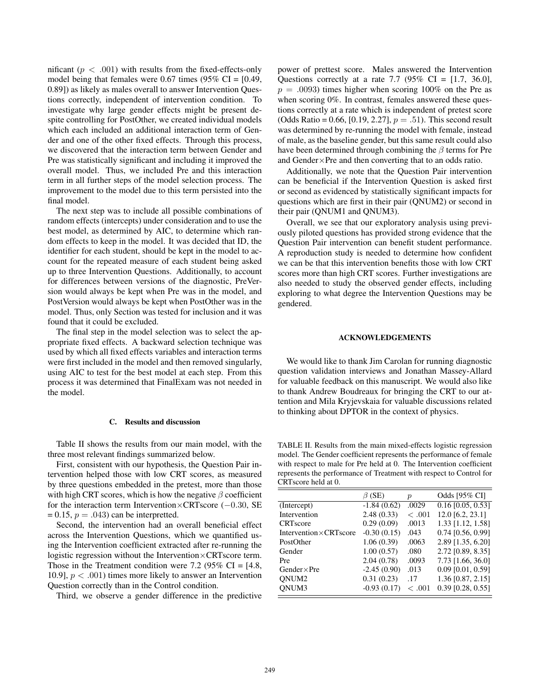nificant  $(p < .001)$  with results from the fixed-effects-only model being that females were 0.67 times (95% CI =  $[0.49,$ 0.89]) as likely as males overall to answer Intervention Questions correctly, independent of intervention condition. To investigate why large gender effects might be present despite controlling for PostOther, we created individual models which each included an additional interaction term of Gender and one of the other fixed effects. Through this process, we discovered that the interaction term between Gender and Pre was statistically significant and including it improved the overall model. Thus, we included Pre and this interaction term in all further steps of the model selection process. The improvement to the model due to this term persisted into the final model.

The next step was to include all possible combinations of random effects (intercepts) under consideration and to use the best model, as determined by AIC, to determine which random effects to keep in the model. It was decided that ID, the identifier for each student, should be kept in the model to account for the repeated measure of each student being asked up to three Intervention Questions. Additionally, to account for differences between versions of the diagnostic, PreVersion would always be kept when Pre was in the model, and PostVersion would always be kept when PostOther was in the model. Thus, only Section was tested for inclusion and it was found that it could be excluded.

The final step in the model selection was to select the appropriate fixed effects. A backward selection technique was used by which all fixed effects variables and interaction terms were first included in the model and then removed singularly, using AIC to test for the best model at each step. From this process it was determined that FinalExam was not needed in the model.

## C. Results and discussion

Table II shows the results from our main model, with the three most relevant findings summarized below.

First, consistent with our hypothesis, the Question Pair intervention helped those with low CRT scores, as measured by three questions embedded in the pretest, more than those with high CRT scores, which is how the negative  $\beta$  coefficient for the interaction term Intervention×CRTscore (−0.30, SE  $= 0.15$ ,  $p = .043$  can be interpretted.

Second, the intervention had an overall beneficial effect across the Intervention Questions, which we quantified using the Intervention coefficient extracted after re-running the logistic regression without the Intervention×CRTscore term. Those in the Treatment condition were 7.2 (95% CI =  $[4.8,$ 10.9],  $p < .001$ ) times more likely to answer an Intervention Question correctly than in the Control condition.

Third, we observe a gender difference in the predictive

power of prettest score. Males answered the Intervention Questions correctly at a rate 7.7 (95% CI =  $[1.7, 36.0]$ ,  $p = .0093$ ) times higher when scoring 100% on the Pre as when scoring 0%. In contrast, females answered these questions correctly at a rate which is independent of pretest score (Odds Ratio = 0.66, [0.19, 2.27],  $p = .51$ ). This second result was determined by re-running the model with female, instead of male, as the baseline gender, but this same result could also have been determined through combining the  $\beta$  terms for Pre and Gender×Pre and then converting that to an odds ratio.

Additionally, we note that the Question Pair intervention can be beneficial if the Intervention Question is asked first or second as evidenced by statistically significant impacts for questions which are first in their pair (QNUM2) or second in their pair (QNUM1 and QNUM3).

Overall, we see that our exploratory analysis using previously piloted questions has provided strong evidence that the Question Pair intervention can benefit student performance. A reproduction study is needed to determine how confident we can be that this intervention benefits those with low CRT scores more than high CRT scores. Further investigations are also needed to study the observed gender effects, including exploring to what degree the Intervention Questions may be gendered.

### ACKNOWLEDGEMENTS

We would like to thank Jim Carolan for running diagnostic question validation interviews and Jonathan Massey-Allard for valuable feedback on this manuscript. We would also like to thank Andrew Boudreaux for bringing the CRT to our attention and Mila Kryjevskaia for valuable discussions related to thinking about DPTOR in the context of physics.

TABLE II. Results from the main mixed-effects logistic regression model. The Gender coefficient represents the performance of female with respect to male for Pre held at 0. The Intervention coefficient represents the performance of Treatment with respect to Control for CRTscore held at 0.

| Odds [95% CI]<br>$\beta$ (SE)<br>$\boldsymbol{p}$<br>$-1.84(0.62)$<br>.0029<br>(Intercept)<br>12.0 [6.2, 23.1]<br>2.48(0.33)<br>Intervention<br>< .001<br>0.29(0.09)<br>.0013<br><b>CRT</b> score<br>$-0.30(0.15)$<br>Intervention $\times$ CRTscore<br>.043<br>1.06(0.39)<br>.0063<br>PostOther<br>1.00(0.57)<br>Gender<br>.080<br>2.04(0.78)<br>.0093<br>Pre<br>$-2.45(0.90)$<br>.013<br>Gender $\times$ Pre<br>ONUM <sub>2</sub><br>0.31(0.23)<br>.17 |       |               |       |                                |
|----------------------------------------------------------------------------------------------------------------------------------------------------------------------------------------------------------------------------------------------------------------------------------------------------------------------------------------------------------------------------------------------------------------------------------------------------------|-------|---------------|-------|--------------------------------|
|                                                                                                                                                                                                                                                                                                                                                                                                                                                          |       |               |       |                                |
|                                                                                                                                                                                                                                                                                                                                                                                                                                                          |       |               |       | $\overline{0.16}$ [0.05, 0.53] |
|                                                                                                                                                                                                                                                                                                                                                                                                                                                          |       |               |       |                                |
|                                                                                                                                                                                                                                                                                                                                                                                                                                                          |       |               |       | 1.33 [1.12, 1.58]              |
|                                                                                                                                                                                                                                                                                                                                                                                                                                                          |       |               |       | $0.74$ [0.56, 0.99]            |
|                                                                                                                                                                                                                                                                                                                                                                                                                                                          |       |               |       | 2.89 [1.35, 6.20]              |
|                                                                                                                                                                                                                                                                                                                                                                                                                                                          |       |               |       | 2.72 [0.89, 8.35]              |
|                                                                                                                                                                                                                                                                                                                                                                                                                                                          |       |               |       | 7.73 [1.66, 36.0]              |
|                                                                                                                                                                                                                                                                                                                                                                                                                                                          |       |               |       | $0.09$ [0.01, 0.59]            |
|                                                                                                                                                                                                                                                                                                                                                                                                                                                          |       |               |       | 1.36 [0.87, 2.15]              |
|                                                                                                                                                                                                                                                                                                                                                                                                                                                          | ONUM3 | $-0.93(0.17)$ | <.001 | $0.39$ [0.28, 0.55]            |